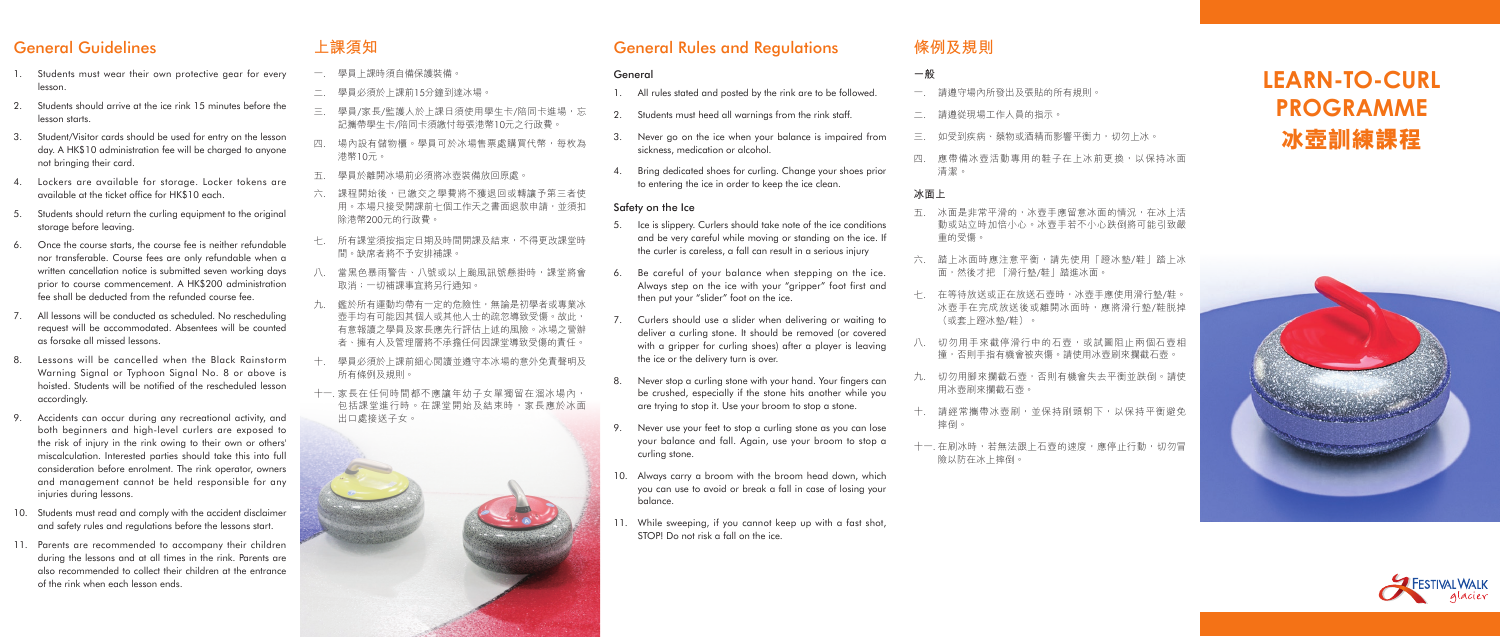# **LEARN-TO-CURL PROGRAMME 冰壺訓練課程**





### General Guidelines

- 1. Students must wear their own protective gear for every lesson.
- 2. Students should arrive at the ice rink 15 minutes before the lesson starts.
- 3. Student/Visitor cards should be used for entry on the lesson day. A HK\$10 administration fee will be charged to anyone not bringing their card.
- 4. Lockers are available for storage. Locker tokens are available at the ticket office for HK\$10 each.
- 5. Students should return the curling equipment to the original storage before leaving.
- 6. Once the course starts, the course fee is neither refundable nor transferable. Course fees are only refundable when a written cancellation notice is submitted seven working days prior to course commencement. A HK\$200 administration fee shall be deducted from the refunded course fee.
- 7. All lessons will be conducted as scheduled. No rescheduling request will be accommodated. Absentees will be counted as forsake all missed lessons.
- 8. Lessons will be cancelled when the Black Rainstorm Warning Signal or Typhoon Signal No. 8 or above is hoisted. Students will be notified of the rescheduled lesson accordingly.
- 9. Accidents can occur during any recreational activity, and both beginners and high-level curlers are exposed to the risk of injury in the rink owing to their own or others' miscalculation. Interested parties should take this into full consideration before enrolment. The rink operator, owners and management cannot be held responsible for any injuries during lessons.
- 10. Students must read and comply with the accident disclaimer and safety rules and regulations before the lessons start.
- 11. Parents are recommended to accompany their children during the lessons and at all times in the rink. Parents are also recommended to collect their children at the entrance of the rink when each lesson ends.

#### **上課須知**

是非常平滑的,冰壺手應留意冰面的情況,在冰上活 動或站立時加倍小心。冰壺手若不小心跌倒將可能引致嚴 重的受傷。

冰面時應注意平衡,請先使用「蹬冰墊/鞋」踏上冰 面,然後才把 「滑行墊/鞋」踏進冰面。

待放送或正在放送石壺時,冰壺手應使用滑行墊/鞋。 手在完成放送後或離開冰面時,應將滑行墊/鞋脱掉 (或套上蹬冰墊/鞋)。

用手來截停滑行中的石壺,或試圖阻止兩個石壺相 撞,否則手指有機會被夾傷。請使用冰壺刷來攔截石壺。

用腳來攔截石壺,否則有機會失去平衡並跌倒。請使 用冰壺刷來攔截石壺。

常攜帶冰壺刷,並保持刷頭朝下,以保持平衡避免

- 一. 學員上課時須自備保護裝備。
- 二. 學員必須於上課前15分鐘到達冰場。
- 三. 學員/家長/監護人於上課日須使用學生卡/陪同卡進場,忘 記攜帶學生卡/陪同卡須繳付每張港幣10元之行政費。
- 四. 場內設有儲物櫃。學員可於冰場售票處購買代幣,每枚為 港幣10元。
- 五. 學員於離開冰場前必須將冰壺裝備放回原處。
- 六. 課程開始後,已繳交之學費將不獲退回或轉讓予第三者使 用。本場只接受開課前七個工作天之書面退款申請,並須扣 除港幣200元的行政費。
- 七. 所有課堂須按指定日期及時間開課及結束,不得更改課堂時 間。缺席者將不予安排補課。
- 八. 當黑色暴雨警告、八號或以上颱風訊號懸掛時,課堂將會 取消;一切補課事宜將另行通知。
- 九. 鑑於所有運動均帶有一定的危險性,無論是初學者或專業冰 壺手均有可能因其個人或其他人士的疏忽導致受傷。故此, 有意報讀之學員及家長應先行評估上述的風險。冰場之營辦 者、擁有人及管理層將不承擔任何因課堂導致受傷的責任。
- 十. 學員必須於上課前細心閱讀並遵守本冰場的意外免責聲明及 所有條例及規則。
- 十一. 家長在任何時間都不應讓年幼子女單獨留在溜冰場內, 包括課堂進行時。在課堂開始及結束時,家長應於冰面 出口處接送子女。



冰時,若無法跟上石壺的速度,應停止行動,切勿冒 險以防在冰上摔倒。

### General Rules and Regulations

| General |                                                                                                                                                                                                                                |       | 一般                |
|---------|--------------------------------------------------------------------------------------------------------------------------------------------------------------------------------------------------------------------------------|-------|-------------------|
| 1.      | All rules stated and posted by the rink are to be followed.                                                                                                                                                                    |       | 請遵守               |
| 2.      | Students must heed all warnings from the rink staff.                                                                                                                                                                           |       | 請遵從               |
| 3.      | Never go on the ice when your balance is impaired from<br>sickness, medication or alcohol.                                                                                                                                     | Ξ.    | 如受到               |
| 4.      | Bring dedicated shoes for curling. Change your shoes prior<br>to entering the ice in order to keep the ice clean.                                                                                                              | 四.    | 應帶備<br>清潔。        |
|         |                                                                                                                                                                                                                                | 冰面上   |                   |
| 5.      | Safety on the Ice<br>Ice is slippery. Curlers should take note of the ice conditions<br>and be very careful while moving or standing on the ice. If<br>the curler is careless, a fall can result in a serious injury           | 五.    | 冰面是<br>動或站<br>重的受 |
| 6.      | Be careful of your balance when stepping on the ice.<br>Always step on the ice with your "gripper" foot first and<br>then put your "slider" foot on the ice.                                                                   | 六.    | 踏上冰<br>面,然        |
|         |                                                                                                                                                                                                                                | 七.    | 在等待<br>冰壺手        |
| 7.      | Curlers should use a slider when delivering or waiting to<br>deliver a curling stone. It should be removed (or covered<br>with a gripper for curling shoes) after a player is leaving<br>the ice or the delivery turn is over. | Л.    | (或套<br>切勿用<br>撞,否 |
| 8.      | Never stop a curling stone with your hand. Your fingers can<br>be crushed, especially if the stone hits another while you                                                                                                      | 九.    | 切勿用<br>用冰壺        |
|         | are trying to stop it. Use your broom to stop a stone.                                                                                                                                                                         | $+$ . | 請經常<br>摔倒。        |
| 9.      | Never use your feet to stop a curling stone as you can lose<br>your balance and fall. Again, use your broom to stop a<br>curling stone.                                                                                        |       | 十一. 在刷冰<br>險以防    |
| 10.     | Always carry a broom with the broom head down, which<br>you can use to avoid or break a fall in case of losing your<br>balance.                                                                                                |       |                   |
| 11.     | While sweeping, if you cannot keep up with a fast shot,<br>STOP! Do not risk a fall on the ice.                                                                                                                                |       |                   |

守場內所發出及張貼的所有規則。

### **條例及規則**

二. 請遵從現場工作人員的指示。

到疾病、藥物或酒精而影響平衡力,切勿上冰。

備冰壺活動專用的鞋子在上冰前更換,以保持冰面